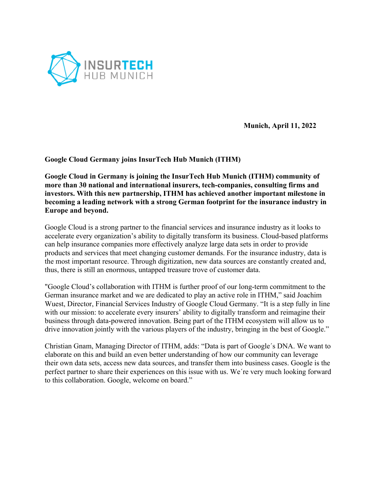

**Munich, April 11, 2022**

## **Google Cloud Germany joins InsurTech Hub Munich (ITHM)**

**Google Cloud in Germany is joining the InsurTech Hub Munich (ITHM) community of more than 30 national and international insurers, tech-companies, consulting firms and investors. With this new partnership, ITHM has achieved another important milestone in becoming a leading network with a strong German footprint for the insurance industry in Europe and beyond.** 

Google Cloud is a strong partner to the financial services and insurance industry as it looks to accelerate every organization's ability to digitally transform its business. Cloud-based platforms can help insurance companies more effectively analyze large data sets in order to provide products and services that meet changing customer demands. For the insurance industry, data is the most important resource. Through digitization, new data sources are constantly created and, thus, there is still an enormous, untapped treasure trove of customer data.

"Google Cloud's collaboration with ITHM is further proof of our long-term commitment to the German insurance market and we are dedicated to play an active role in ITHM," said Joachim Wuest, Director, Financial Services Industry of Google Cloud Germany. "It is a step fully in line with our mission: to accelerate every insurers' ability to digitally transform and reimagine their business through data-powered innovation. Being part of the ITHM ecosystem will allow us to drive innovation jointly with the various players of the industry, bringing in the best of Google."

Christian Gnam, Managing Director of ITHM, adds: "Data is part of Google´s DNA. We want to elaborate on this and build an even better understanding of how our community can leverage their own data sets, access new data sources, and transfer them into business cases. Google is the perfect partner to share their experiences on this issue with us. We´re very much looking forward to this collaboration. Google, welcome on board."